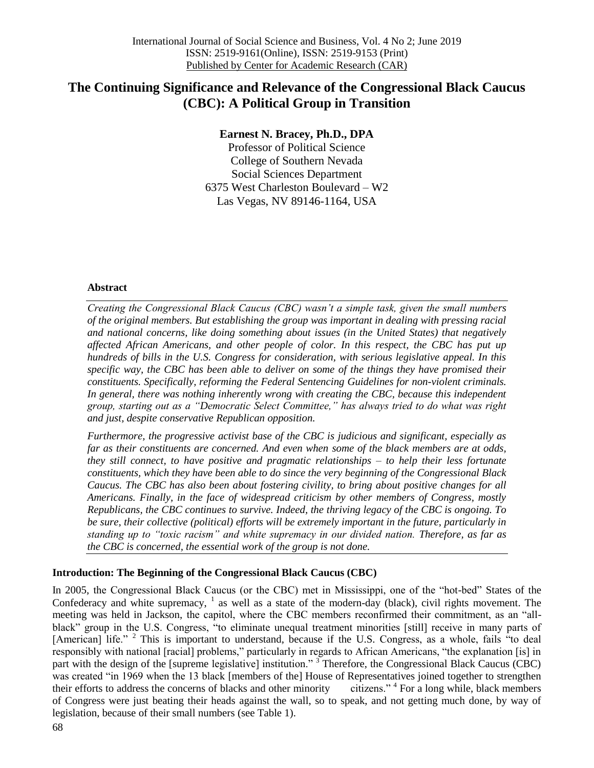# **The Continuing Significance and Relevance of the Congressional Black Caucus (CBC): A Political Group in Transition**

## **Earnest N. Bracey, Ph.D., DPA**

Professor of Political Science College of Southern Nevada Social Sciences Department 6375 West Charleston Boulevard – W2 Las Vegas, NV 89146-1164, USA

#### **Abstract**

*Creating the Congressional Black Caucus (CBC) wasn't a simple task, given the small numbers of the original members. But establishing the group was important in dealing with pressing racial and national concerns, like doing something about issues (in the United States) that negatively affected African Americans, and other people of color. In this respect, the CBC has put up hundreds of bills in the U.S. Congress for consideration, with serious legislative appeal. In this specific way, the CBC has been able to deliver on some of the things they have promised their constituents. Specifically, reforming the Federal Sentencing Guidelines for non-violent criminals. In general, there was nothing inherently wrong with creating the CBC, because this independent group, starting out as a "Democratic Select Committee," has always tried to do what was right and just, despite conservative Republican opposition.*

*Furthermore, the progressive activist base of the CBC is judicious and significant, especially as far as their constituents are concerned. And even when some of the black members are at odds, they still connect, to have positive and pragmatic relationships – to help their less fortunate constituents, which they have been able to do since the very beginning of the Congressional Black Caucus. The CBC has also been about fostering civility, to bring about positive changes for all Americans. Finally, in the face of widespread criticism by other members of Congress, mostly Republicans, the CBC continues to survive. Indeed, the thriving legacy of the CBC is ongoing. To be sure, their collective (political) efforts will be extremely important in the future, particularly in standing up to "toxic racism" and white supremacy in our divided nation. Therefore, as far as the CBC is concerned, the essential work of the group is not done.*

### **Introduction: The Beginning of the Congressional Black Caucus (CBC)**

In 2005, the Congressional Black Caucus (or the CBC) met in Mississippi, one of the "hot-bed" States of the Confederacy and white supremacy,  $1$  as well as a state of the modern-day (black), civil rights movement. The meeting was held in Jackson, the capitol, where the CBC members reconfirmed their commitment, as an "allblack" group in the U.S. Congress, "to eliminate unequal treatment minorities [still] receive in many parts of [American] life." <sup>2</sup> This is important to understand, because if the U.S. Congress, as a whole, fails "to deal responsibly with national [racial] problems," particularly in regards to African Americans, "the explanation [is] in part with the design of the [supreme legislative] institution."<sup>3</sup> Therefore, the Congressional Black Caucus (CBC) was created "in 1969 when the 13 black [members of the] House of Representatives joined together to strengthen their efforts to address the concerns of blacks and other minority. citizens." <sup>4</sup> For a long while, black members of Congress were just beating their heads against the wall, so to speak, and not getting much done, by way of legislation, because of their small numbers (see Table 1).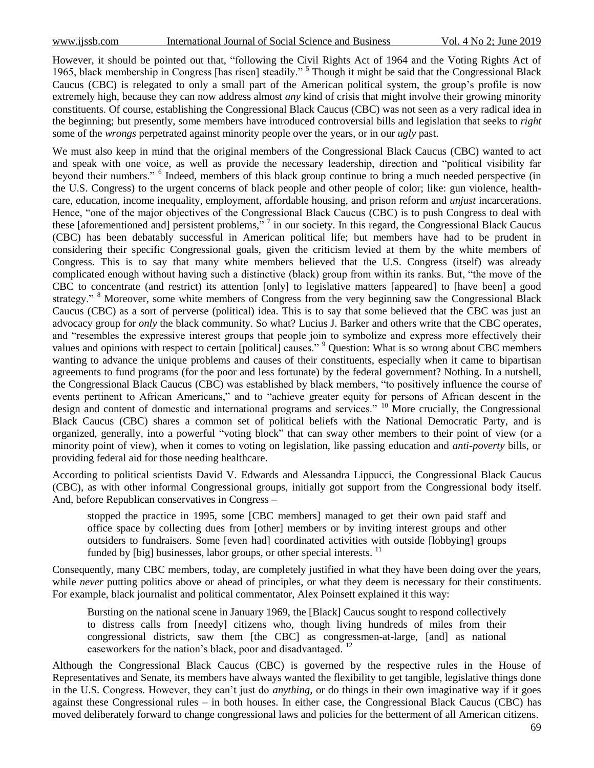However, it should be pointed out that, "following the Civil Rights Act of 1964 and the Voting Rights Act of 1965, black membership in Congress [has risen] steadily." <sup>5</sup> Though it might be said that the Congressional Black Caucus (CBC) is relegated to only a small part of the American political system, the group"s profile is now extremely high, because they can now address almost *any* kind of crisis that might involve their growing minority constituents. Of course, establishing the Congressional Black Caucus (CBC) was not seen as a very radical idea in the beginning; but presently, some members have introduced controversial bills and legislation that seeks to *right* some of the *wrongs* perpetrated against minority people over the years, or in our *ugly* past.

We must also keep in mind that the original members of the Congressional Black Caucus (CBC) wanted to act and speak with one voice, as well as provide the necessary leadership, direction and "political visibility far beyond their numbers." <sup>6</sup> Indeed, members of this black group continue to bring a much needed perspective (in the U.S. Congress) to the urgent concerns of black people and other people of color; like: gun violence, healthcare, education, income inequality, employment, affordable housing, and prison reform and *unjust* incarcerations. Hence, "one of the major objectives of the Congressional Black Caucus (CBC) is to push Congress to deal with these [aforementioned and] persistent problems,"  $\frac{7}{1}$  in our society. In this regard, the Congressional Black Caucus (CBC) has been debatably successful in American political life; but members have had to be prudent in considering their specific Congressional goals, given the criticism levied at them by the white members of Congress. This is to say that many white members believed that the U.S. Congress (itself) was already complicated enough without having such a distinctive (black) group from within its ranks. But, "the move of the CBC to concentrate (and restrict) its attention [only] to legislative matters [appeared] to [have been] a good strategy." <sup>8</sup> Moreover, some white members of Congress from the very beginning saw the Congressional Black Caucus (CBC) as a sort of perverse (political) idea. This is to say that some believed that the CBC was just an advocacy group for *only* the black community. So what? Lucius J. Barker and others write that the CBC operates, and "resembles the expressive interest groups that people join to symbolize and express more effectively their values and opinions with respect to certain [political] causes." <sup>9</sup> Question: What is so wrong about CBC members wanting to advance the unique problems and causes of their constituents, especially when it came to bipartisan agreements to fund programs (for the poor and less fortunate) by the federal government? Nothing. In a nutshell, the Congressional Black Caucus (CBC) was established by black members, "to positively influence the course of events pertinent to African Americans," and to "achieve greater equity for persons of African descent in the design and content of domestic and international programs and services." <sup>10</sup> More crucially, the Congressional Black Caucus (CBC) shares a common set of political beliefs with the National Democratic Party, and is organized, generally, into a powerful "voting block" that can sway other members to their point of view (or a minority point of view), when it comes to voting on legislation, like passing education and *anti-poverty* bills, or providing federal aid for those needing healthcare.

According to political scientists David V. Edwards and Alessandra Lippucci, the Congressional Black Caucus (CBC), as with other informal Congressional groups, initially got support from the Congressional body itself. And, before Republican conservatives in Congress –

stopped the practice in 1995, some [CBC members] managed to get their own paid staff and office space by collecting dues from [other] members or by inviting interest groups and other outsiders to fundraisers. Some [even had] coordinated activities with outside [lobbying] groups funded by [big] businesses, labor groups, or other special interests.  $^{11}$ 

Consequently, many CBC members, today, are completely justified in what they have been doing over the years, while *never* putting politics above or ahead of principles, or what they deem is necessary for their constituents. For example, black journalist and political commentator, Alex Poinsett explained it this way:

Bursting on the national scene in January 1969, the [Black] Caucus sought to respond collectively to distress calls from [needy] citizens who, though living hundreds of miles from their congressional districts, saw them [the CBC] as congressmen-at-large, [and] as national caseworkers for the nation's black, poor and disadvantaged.  $^{12}$ 

Although the Congressional Black Caucus (CBC) is governed by the respective rules in the House of Representatives and Senate, its members have always wanted the flexibility to get tangible, legislative things done in the U.S. Congress. However, they can't just do *anything*, or do things in their own imaginative way if it goes against these Congressional rules – in both houses. In either case, the Congressional Black Caucus (CBC) has moved deliberately forward to change congressional laws and policies for the betterment of all American citizens.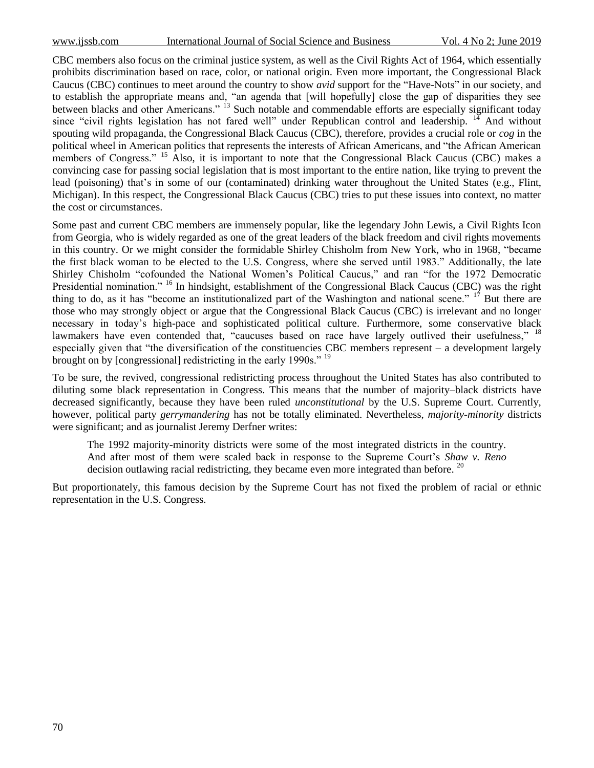CBC members also focus on the criminal justice system, as well as the Civil Rights Act of 1964, which essentially prohibits discrimination based on race, color, or national origin. Even more important, the Congressional Black Caucus (CBC) continues to meet around the country to show *avid* support for the "Have-Nots" in our society, and to establish the appropriate means and, "an agenda that [will hopefully] close the gap of disparities they see between blacks and other Americans."<sup>13</sup> Such notable and commendable efforts are especially significant today since "civil rights legislation has not fared well" under Republican control and leadership.  $14$  And without spouting wild propaganda, the Congressional Black Caucus (CBC), therefore, provides a crucial role or *cog* in the political wheel in American politics that represents the interests of African Americans, and "the African American members of Congress." <sup>15</sup> Also, it is important to note that the Congressional Black Caucus (CBC) makes a convincing case for passing social legislation that is most important to the entire nation, like trying to prevent the lead (poisoning) that's in some of our (contaminated) drinking water throughout the United States (e.g., Flint, Michigan). In this respect, the Congressional Black Caucus (CBC) tries to put these issues into context, no matter the cost or circumstances.

Some past and current CBC members are immensely popular, like the legendary John Lewis, a Civil Rights Icon from Georgia, who is widely regarded as one of the great leaders of the black freedom and civil rights movements in this country. Or we might consider the formidable Shirley Chisholm from New York, who in 1968, "became the first black woman to be elected to the U.S. Congress, where she served until 1983." Additionally, the late Shirley Chisholm "cofounded the National Women"s Political Caucus," and ran "for the 1972 Democratic Presidential nomination." <sup>16</sup> In hindsight, establishment of the Congressional Black Caucus (CBC) was the right thing to do, as it has "become an institutionalized part of the Washington and national scene." <sup>17</sup> But there are those who may strongly object or argue that the Congressional Black Caucus (CBC) is irrelevant and no longer necessary in today"s high-pace and sophisticated political culture. Furthermore, some conservative black lawmakers have even contended that, "caucuses based on race have largely outlived their usefulness," <sup>18</sup> especially given that "the diversification of the constituencies CBC members represent – a development largely brought on by [congressional] redistricting in the early 1990s."<sup>19</sup>

To be sure, the revived, congressional redistricting process throughout the United States has also contributed to diluting some black representation in Congress. This means that the number of majority–black districts have decreased significantly, because they have been ruled *unconstitutional* by the U.S. Supreme Court. Currently, however, political party *gerrymandering* has not be totally eliminated. Nevertheless, *majority-minority* districts were significant; and as journalist Jeremy Derfner writes:

The 1992 majority-minority districts were some of the most integrated districts in the country. And after most of them were scaled back in response to the Supreme Court"s *Shaw v. Reno* decision outlawing racial redistricting, they became even more integrated than before.  $^{20}$ 

But proportionately, this famous decision by the Supreme Court has not fixed the problem of racial or ethnic representation in the U.S. Congress.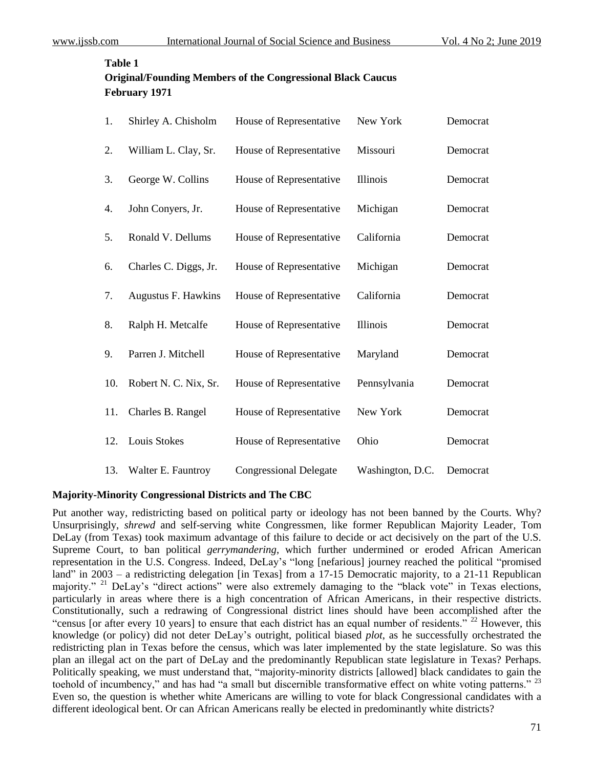#### **Table 1**

| <b>Original/Founding Members of the Congressional Black Caucus</b> |
|--------------------------------------------------------------------|
| February 1971                                                      |

| 1.  | Shirley A. Chisholm   | House of Representative       | New York         | Democrat |
|-----|-----------------------|-------------------------------|------------------|----------|
| 2.  | William L. Clay, Sr.  | House of Representative       | Missouri         | Democrat |
| 3.  | George W. Collins     | House of Representative       | Illinois         | Democrat |
| 4.  | John Conyers, Jr.     | House of Representative       | Michigan         | Democrat |
| 5.  | Ronald V. Dellums     | House of Representative       | California       | Democrat |
| 6.  | Charles C. Diggs, Jr. | House of Representative       | Michigan         | Democrat |
| 7.  | Augustus F. Hawkins   | House of Representative       | California       | Democrat |
| 8.  | Ralph H. Metcalfe     | House of Representative       | Illinois         | Democrat |
| 9.  | Parren J. Mitchell    | House of Representative       | Maryland         | Democrat |
| 10. | Robert N. C. Nix, Sr. | House of Representative       | Pennsylvania     | Democrat |
| 11. | Charles B. Rangel     | House of Representative       | New York         | Democrat |
| 12. | Louis Stokes          | House of Representative       | Ohio             | Democrat |
| 13. | Walter E. Fauntroy    | <b>Congressional Delegate</b> | Washington, D.C. | Democrat |

#### **Majority-Minority Congressional Districts and The CBC**

Put another way, redistricting based on political party or ideology has not been banned by the Courts. Why? Unsurprisingly, *shrewd* and self-serving white Congressmen, like former Republican Majority Leader, Tom DeLay (from Texas) took maximum advantage of this failure to decide or act decisively on the part of the U.S. Supreme Court, to ban political *gerrymandering*, which further undermined or eroded African American representation in the U.S. Congress. Indeed, DeLay"s "long [nefarious] journey reached the political "promised land" in 2003 – a redistricting delegation [in Texas] from a 17-15 Democratic majority, to a 21-11 Republican majority." <sup>21</sup> DeLay's "direct actions" were also extremely damaging to the "black vote" in Texas elections, particularly in areas where there is a high concentration of African Americans, in their respective districts. Constitutionally, such a redrawing of Congressional district lines should have been accomplished after the "census [or after every 10 years] to ensure that each district has an equal number of residents."<sup>22</sup> However, this knowledge (or policy) did not deter DeLay"s outright, political biased *plot*, as he successfully orchestrated the redistricting plan in Texas before the census, which was later implemented by the state legislature. So was this plan an illegal act on the part of DeLay and the predominantly Republican state legislature in Texas? Perhaps. Politically speaking, we must understand that, "majority-minority districts [allowed] black candidates to gain the toehold of incumbency," and has had "a small but discernible transformative effect on white voting patterns." <sup>23</sup> Even so, the question is whether white Americans are willing to vote for black Congressional candidates with a different ideological bent. Or can African Americans really be elected in predominantly white districts?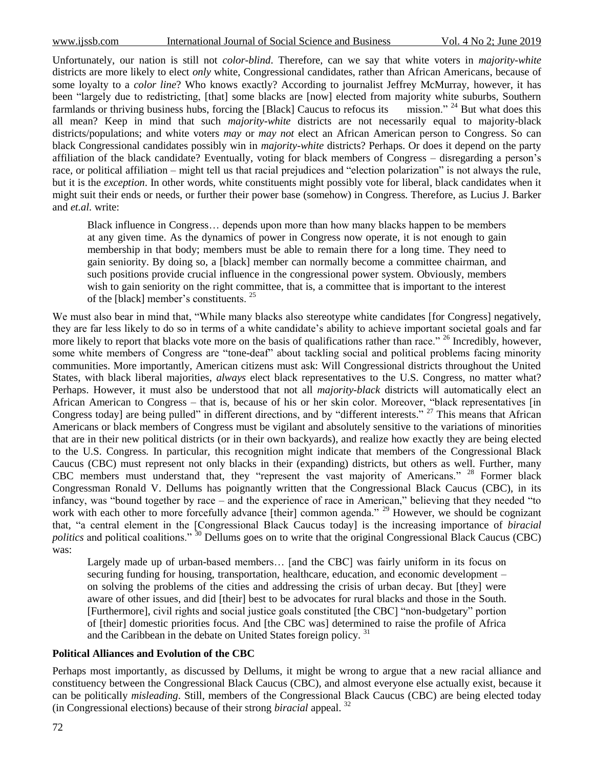Unfortunately, our nation is still not *color-blind*. Therefore, can we say that white voters in *majority-white* districts are more likely to elect *only* white, Congressional candidates, rather than African Americans, because of some loyalty to a *color line*? Who knows exactly? According to journalist Jeffrey McMurray, however, it has been "largely due to redistricting, [that] some blacks are [now] elected from majority white suburbs, Southern farmlands or thriving business hubs, forcing the [Black] Caucus to refocus its mission." <sup>24</sup> But what does this all mean? Keep in mind that such *majority-white* districts are not necessarily equal to majority-black districts/populations; and white voters *may* or *may not* elect an African American person to Congress. So can black Congressional candidates possibly win in *majority-white* districts? Perhaps. Or does it depend on the party affiliation of the black candidate? Eventually, voting for black members of Congress – disregarding a person"s race, or political affiliation – might tell us that racial prejudices and "election polarization" is not always the rule, but it is the *exception*. In other words, white constituents might possibly vote for liberal, black candidates when it might suit their ends or needs, or further their power base (somehow) in Congress. Therefore, as Lucius J. Barker and *et.al.* write:

Black influence in Congress… depends upon more than how many blacks happen to be members at any given time. As the dynamics of power in Congress now operate, it is not enough to gain membership in that body; members must be able to remain there for a long time. They need to gain seniority. By doing so, a [black] member can normally become a committee chairman, and such positions provide crucial influence in the congressional power system. Obviously, members wish to gain seniority on the right committee, that is, a committee that is important to the interest of the [black] member's constituents.  $25$ 

We must also bear in mind that, "While many blacks also stereotype white candidates [for Congress] negatively, they are far less likely to do so in terms of a white candidate's ability to achieve important societal goals and far more likely to report that blacks vote more on the basis of qualifications rather than race." <sup>26</sup> Incredibly, however, some white members of Congress are "tone-deaf" about tackling social and political problems facing minority communities. More importantly, American citizens must ask: Will Congressional districts throughout the United States, with black liberal majorities, *always* elect black representatives to the U.S. Congress, no matter what? Perhaps. However, it must also be understood that not all *majority-black* districts will automatically elect an African American to Congress – that is, because of his or her skin color. Moreover, "black representatives [in Congress today] are being pulled" in different directions, and by "different interests." <sup>27</sup> This means that African Americans or black members of Congress must be vigilant and absolutely sensitive to the variations of minorities that are in their new political districts (or in their own backyards), and realize how exactly they are being elected to the U.S. Congress. In particular, this recognition might indicate that members of the Congressional Black Caucus (CBC) must represent not only blacks in their (expanding) districts, but others as well. Further, many CBC members must understand that, they "represent the vast majority of Americans." <sup>28</sup> Former black Congressman Ronald V. Dellums has poignantly written that the Congressional Black Caucus (CBC), in its infancy, was "bound together by race – and the experience of race in American," believing that they needed "to work with each other to more forcefully advance [their] common agenda." <sup>29</sup> However, we should be cognizant that, "a central element in the [Congressional Black Caucus today] is the increasing importance of *biracial politics* and political coalitions."<sup>30</sup> Dellums goes on to write that the original Congressional Black Caucus (CBC) was:

Largely made up of urban-based members… [and the CBC] was fairly uniform in its focus on securing funding for housing, transportation, healthcare, education, and economic development – on solving the problems of the cities and addressing the crisis of urban decay. But [they] were aware of other issues, and did [their] best to be advocates for rural blacks and those in the South. [Furthermore], civil rights and social justice goals constituted [the CBC] "non-budgetary" portion of [their] domestic priorities focus. And [the CBC was] determined to raise the profile of Africa and the Caribbean in the debate on United States foreign policy. <sup>31</sup>

#### **Political Alliances and Evolution of the CBC**

Perhaps most importantly, as discussed by Dellums, it might be wrong to argue that a new racial alliance and constituency between the Congressional Black Caucus (CBC), and almost everyone else actually exist, because it can be politically *misleading*. Still, members of the Congressional Black Caucus (CBC) are being elected today (in Congressional elections) because of their strong *biracial* appeal. <sup>32</sup>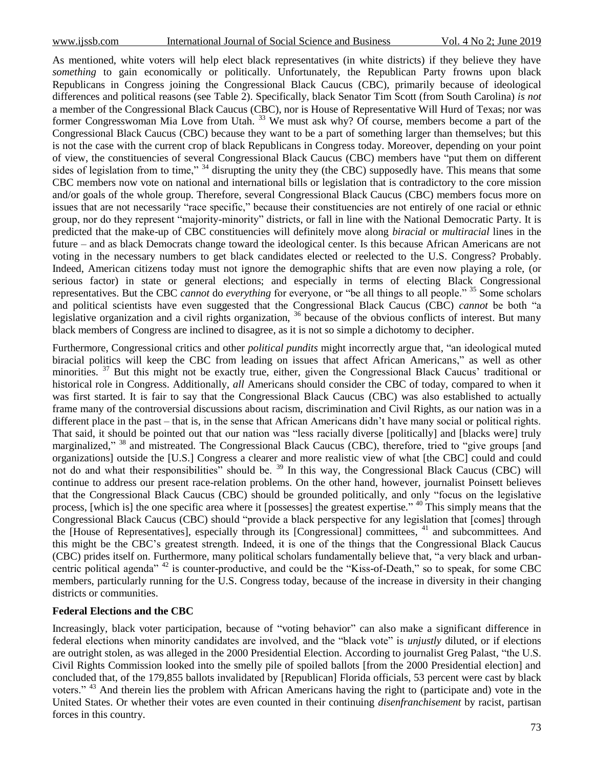As mentioned, white voters will help elect black representatives (in white districts) if they believe they have *something* to gain economically or politically. Unfortunately, the Republican Party frowns upon black Republicans in Congress joining the Congressional Black Caucus (CBC), primarily because of ideological differences and political reasons (see Table 2). Specifically, black Senator Tim Scott (from South Carolina) *is not* a member of the Congressional Black Caucus (CBC), nor is House of Representative Will Hurd of Texas; nor was former Congresswoman Mia Love from Utah.<sup>33</sup> We must ask why? Of course, members become a part of the Congressional Black Caucus (CBC) because they want to be a part of something larger than themselves; but this is not the case with the current crop of black Republicans in Congress today. Moreover, depending on your point of view, the constituencies of several Congressional Black Caucus (CBC) members have "put them on different sides of legislation from to time," <sup>34</sup> disrupting the unity they (the CBC) supposedly have. This means that some CBC members now vote on national and international bills or legislation that is contradictory to the core mission and/or goals of the whole group. Therefore, several Congressional Black Caucus (CBC) members focus more on issues that are not necessarily "race specific," because their constituencies are not entirely of one racial or ethnic group, nor do they represent "majority-minority" districts, or fall in line with the National Democratic Party. It is predicted that the make-up of CBC constituencies will definitely move along *biracial* or *multiracial* lines in the future – and as black Democrats change toward the ideological center. Is this because African Americans are not voting in the necessary numbers to get black candidates elected or reelected to the U.S. Congress? Probably. Indeed, American citizens today must not ignore the demographic shifts that are even now playing a role, (or serious factor) in state or general elections; and especially in terms of electing Black Congressional representatives. But the CBC *cannot* do *everything* for everyone, or "be all things to all people." <sup>35</sup> Some scholars and political scientists have even suggested that the Congressional Black Caucus (CBC) *cannot* be both "a legislative organization and a civil rights organization, <sup>36</sup> because of the obvious conflicts of interest. But many black members of Congress are inclined to disagree, as it is not so simple a dichotomy to decipher.

Furthermore, Congressional critics and other *political pundits* might incorrectly argue that, "an ideological muted biracial politics will keep the CBC from leading on issues that affect African Americans," as well as other minorities. <sup>37</sup> But this might not be exactly true, either, given the Congressional Black Caucus' traditional or historical role in Congress. Additionally, *all* Americans should consider the CBC of today, compared to when it was first started. It is fair to say that the Congressional Black Caucus (CBC) was also established to actually frame many of the controversial discussions about racism, discrimination and Civil Rights, as our nation was in a different place in the past – that is, in the sense that African Americans didn't have many social or political rights. That said, it should be pointed out that our nation was "less racially diverse [politically] and [blacks were] truly marginalized," <sup>38</sup> and mistreated. The Congressional Black Caucus (CBC), therefore, tried to "give groups [and organizations] outside the [U.S.] Congress a clearer and more realistic view of what [the CBC] could and could not do and what their responsibilities" should be. <sup>39</sup> In this way, the Congressional Black Caucus (CBC) will continue to address our present race-relation problems. On the other hand, however, journalist Poinsett believes that the Congressional Black Caucus (CBC) should be grounded politically, and only "focus on the legislative process, [which is] the one specific area where it [possesses] the greatest expertise." <sup>40</sup> This simply means that the Congressional Black Caucus (CBC) should "provide a black perspective for any legislation that [comes] through the [House of Representatives], especially through its [Congressional] committees, <sup>41</sup> and subcommittees. And this might be the CBC"s greatest strength. Indeed, it is one of the things that the Congressional Black Caucus (CBC) prides itself on. Furthermore, many political scholars fundamentally believe that, "a very black and urbancentric political agenda" <sup>42</sup> is counter-productive, and could be the "Kiss-of-Death," so to speak, for some CBC members, particularly running for the U.S. Congress today, because of the increase in diversity in their changing districts or communities.

#### **Federal Elections and the CBC**

Increasingly, black voter participation, because of "voting behavior" can also make a significant difference in federal elections when minority candidates are involved, and the "black vote" is *unjustly* diluted, or if elections are outright stolen, as was alleged in the 2000 Presidential Election. According to journalist Greg Palast, "the U.S. Civil Rights Commission looked into the smelly pile of spoiled ballots [from the 2000 Presidential election] and concluded that, of the 179,855 ballots invalidated by [Republican] Florida officials, 53 percent were cast by black voters." <sup>43</sup> And therein lies the problem with African Americans having the right to (participate and) vote in the United States. Or whether their votes are even counted in their continuing *disenfranchisement* by racist, partisan forces in this country.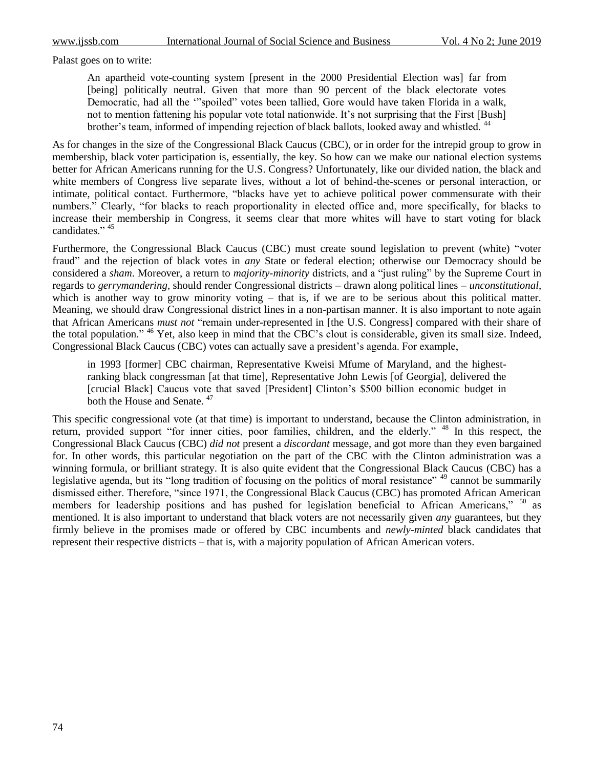Palast goes on to write:

An apartheid vote-counting system [present in the 2000 Presidential Election was] far from [being] politically neutral. Given that more than 90 percent of the black electorate votes Democratic, had all the ""spoiled" votes been tallied, Gore would have taken Florida in a walk, not to mention fattening his popular vote total nationwide. It's not surprising that the First [Bush] brother's team, informed of impending rejection of black ballots, looked away and whistled. <sup>44</sup>

As for changes in the size of the Congressional Black Caucus (CBC), or in order for the intrepid group to grow in membership, black voter participation is, essentially, the key. So how can we make our national election systems better for African Americans running for the U.S. Congress? Unfortunately, like our divided nation, the black and white members of Congress live separate lives, without a lot of behind-the-scenes or personal interaction, or intimate, political contact. Furthermore, "blacks have yet to achieve political power commensurate with their numbers." Clearly, "for blacks to reach proportionality in elected office and, more specifically, for blacks to increase their membership in Congress, it seems clear that more whites will have to start voting for black candidates." 45

Furthermore, the Congressional Black Caucus (CBC) must create sound legislation to prevent (white) "voter fraud" and the rejection of black votes in *any* State or federal election; otherwise our Democracy should be considered a *sham*. Moreover, a return to *majority-minority* districts, and a "just ruling" by the Supreme Court in regards to *gerrymandering*, should render Congressional districts – drawn along political lines – *unconstitutional*, which is another way to grow minority voting – that is, if we are to be serious about this political matter. Meaning, we should draw Congressional district lines in a non-partisan manner. It is also important to note again that African Americans *must not* "remain under-represented in [the U.S. Congress] compared with their share of the total population." <sup>46</sup> Yet, also keep in mind that the CBC's clout is considerable, given its small size. Indeed, Congressional Black Caucus (CBC) votes can actually save a president's agenda. For example,

in 1993 [former] CBC chairman, Representative Kweisi Mfume of Maryland, and the highestranking black congressman [at that time], Representative John Lewis [of Georgia], delivered the [crucial Black] Caucus vote that saved [President] Clinton"s \$500 billion economic budget in both the House and Senate.  $47$ 

This specific congressional vote (at that time) is important to understand, because the Clinton administration, in return, provided support "for inner cities, poor families, children, and the elderly." <sup>48</sup> In this respect, the Congressional Black Caucus (CBC) *did not* present a *discordant* message, and got more than they even bargained for. In other words, this particular negotiation on the part of the CBC with the Clinton administration was a winning formula, or brilliant strategy. It is also quite evident that the Congressional Black Caucus (CBC) has a legislative agenda, but its "long tradition of focusing on the politics of moral resistance" <sup>49</sup> cannot be summarily dismissed either. Therefore, "since 1971, the Congressional Black Caucus (CBC) has promoted African American members for leadership positions and has pushed for legislation beneficial to African Americans," <sup>50</sup> as mentioned. It is also important to understand that black voters are not necessarily given *any* guarantees, but they firmly believe in the promises made or offered by CBC incumbents and *newly-minted* black candidates that represent their respective districts – that is, with a majority population of African American voters.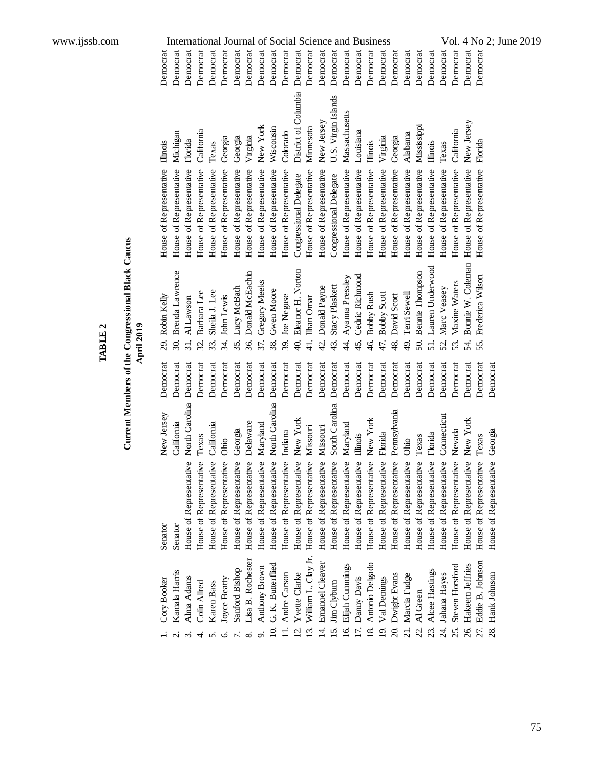| www.ijssb.com                                                                                |                                                                                                                                     |                                                                                                          |                                                                                                                                                                                                                                                                                                                                                                                                           | 2:<br>NQ<br>2019<br>4<br>June<br>οl                                                                                                 |
|----------------------------------------------------------------------------------------------|-------------------------------------------------------------------------------------------------------------------------------------|----------------------------------------------------------------------------------------------------------|-----------------------------------------------------------------------------------------------------------------------------------------------------------------------------------------------------------------------------------------------------------------------------------------------------------------------------------------------------------------------------------------------------------|-------------------------------------------------------------------------------------------------------------------------------------|
|                                                                                              | Democrat<br>Democrat<br>Democrat<br>Democrat<br>Democrat                                                                            | Democrat<br>Democrat<br>Democrat<br>Democrat                                                             | Democrat<br>Democrat<br>Democrat<br>Democrat<br>Democrat<br>Democrat<br>Democrat<br>Democrat<br>Democrat<br>Democrat<br>Democrat<br>Democrat<br>Democrat<br>Democrat                                                                                                                                                                                                                                      | Democrat<br>Democrat<br>Democrat<br>Democrat                                                                                        |
|                                                                                              | California<br>Michigan<br>Florida<br>Illinois<br>Texas                                                                              | New York<br>Virginia<br>Georgia<br>Georgia                                                               | District of Columbia<br>U.S. Virgin Islands<br>Massachusetts<br>New Jersey<br>Mississippi<br>Wisconsin<br>Minnesota<br>Louisiana<br>Colorado<br>Alabama<br>Virginia<br>Georgia<br>Illinois<br>Illinois                                                                                                                                                                                                    | New Jersey<br>California<br>Florida<br>Texas                                                                                        |
|                                                                                              | House of Representative<br>House of Representative<br>House of Representative<br>House of Representative<br>House of Representative | House of Representative<br>House of Representative<br>House of Representative<br>House of Representative | House of Representative<br>House of Representative<br>House of Representative<br>House of Representative<br>House of Representative<br>House of Representative<br>House of Representative<br>House of Representative<br>House of Representative<br>House of Representative<br>House of Representative<br>House of Representative<br>Congressional Delegate<br>Congressional Delegate                      | House of Representative<br>House of Representative<br>House of Representative<br>House of Representative                            |
| Current Members of the Congressional Black Caucus<br><b>April 2019</b><br>TABLE <sub>2</sub> | Brenda Lawrence<br>Sheila J. Lee<br>Barbara Lee<br>Robin Kelly<br>Al Lawson<br>30.<br>29.<br>31.<br>32.<br>33.                      | Donald McEachin<br>Gregory Meeks<br>Lucy McBath<br>John Lewis<br>37.<br>36.<br>र्द्र<br>35.              | Lauren Underwood<br>Eleanor H. Norton<br><b>Bennie Thompson</b><br>Cedric Richmond<br>Ayanna Pressley<br><b>Stacy Plaskett</b><br>Donald Payne<br>Gwen Moore<br><b>Bobby Scott</b><br>Terri Sewell<br><b>Bobby Rush</b><br>David Scott<br>Joe Neguse<br>Ilhan Omar<br>$\frac{1}{4}$<br>47.<br>50.<br>51.<br>38.<br>\$<br>4<br>48.<br>46.<br>39.<br>$\overline{d}$<br>43.<br>45.<br>$\frac{9}{4}$          | Bonnie W. Coleman<br>Frederica Wilson<br>Maxine Waters<br>Marc Veasey<br>55.<br>54.<br>53.<br>S2.                                   |
|                                                                                              | Democrat<br>Democrat<br>Democrat<br>Democrat<br>Democrat                                                                            | Democrat<br>Democrat<br>Democrat<br>Democrat                                                             | Democrat<br>Democrat<br>Democrat<br>Democrat<br>Democrat<br>Democrat<br>Democrat<br>Democrat<br>Democrat<br>Democrat<br>Democrat<br>Democrat<br>Democrat<br>Democrat                                                                                                                                                                                                                                      | Democrat<br>Democrat<br>Democrat<br>Democrat<br>Democrat                                                                            |
|                                                                                              | North Carolina<br>New Jersey<br>California<br>California<br>Texas                                                                   | Delaware<br>Maryland<br>Georgia<br>Ohio                                                                  | North Carolina<br>South Carolina<br>Pennsylvania<br>New York<br>New York<br>Maryland<br>Missouri<br>Missouri<br>Indiana<br>Florida<br>Florida<br>Illinois<br>Texas<br>Ohio                                                                                                                                                                                                                                | Connecticut<br>New York<br>Nevada<br>Georgia<br>Texas                                                                               |
|                                                                                              | House of Representative<br>House of Representative<br>House of Representative<br>Senator<br>Senator                                 | House of Representative<br>House of Representative<br>House of Representative<br>House of Representative | House of Representative<br>House of Representative<br>House of Representative<br>ye<br>House of Representative<br>House of Representative<br>House of Representative<br>House of Representative<br>gδ<br>House of Representative<br>House of Representative<br>y<br>House of Representative<br>House of Representative<br>House of Representativ<br>House of Representativ<br>House of Representativ      | House of Representative<br>House of Representative<br>House of Representative<br>House of Representative<br>House of Representative |
|                                                                                              | Kamala Harris<br>Alma Adams<br>Cory Booker<br>Karen Bass<br>Colin Allred<br>$\sim$<br>4.<br>n.                                      | Lisa B. Rochester<br>Anthony Brown<br>Sanford Bishop<br>Joyce Beatty<br>6.<br>$\infty$                   | William L. Clay Jr.<br><b>Emanuel Cleaver</b><br>Antonio Delgado<br>G. K. Butterflied<br>Elijah Cummings<br>Alcee Hastings<br>Andre Carson<br>Yvette Clarke<br>Dwight Evans<br>Marcia Fudge<br>Damy Davis<br>Val Dennings<br>Jim Clyburn<br>Al Green<br>16.<br>17.<br>$\infty$<br>⊆́<br>18.<br>23.<br>$\overline{13}$ .<br>4.<br>15.<br>$\overline{9}$<br>$\overline{21}$ .<br>22.<br>Ξ<br>$\overline{5}$ | Eddie B. Johnson<br>Hakeem Jeffries<br>Steven Horsford<br>Hank Johnson<br>Jahana Hayes<br>26.<br>27.<br>ZÍ.<br>25.<br>28.           |

# Current Members of the Congressional Black Caucus<br>April 2019 **Current Members of the Congressional Black Caucus April 2019**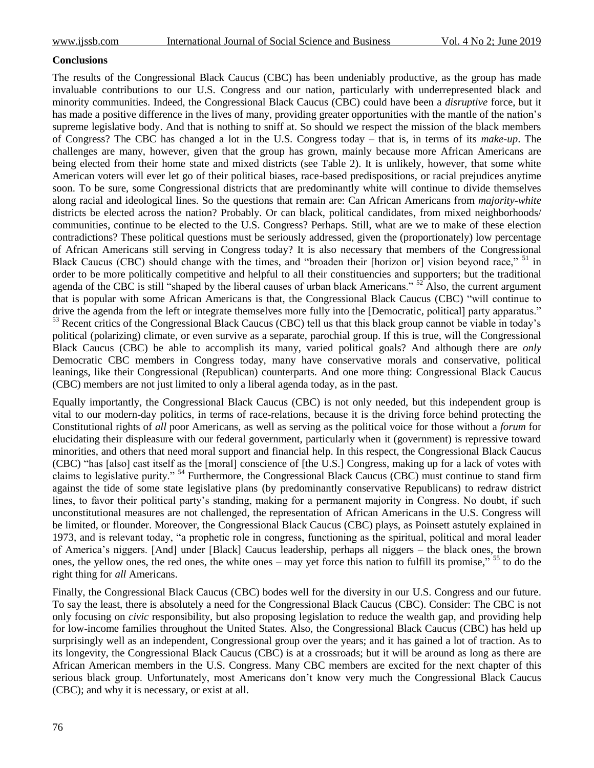#### **Conclusions**

The results of the Congressional Black Caucus (CBC) has been undeniably productive, as the group has made invaluable contributions to our U.S. Congress and our nation, particularly with underrepresented black and minority communities. Indeed, the Congressional Black Caucus (CBC) could have been a *disruptive* force, but it has made a positive difference in the lives of many, providing greater opportunities with the mantle of the nation's supreme legislative body. And that is nothing to sniff at. So should we respect the mission of the black members of Congress? The CBC has changed a lot in the U.S. Congress today – that is, in terms of its *make-up*. The challenges are many, however, given that the group has grown, mainly because more African Americans are being elected from their home state and mixed districts (see Table 2). It is unlikely, however, that some white American voters will ever let go of their political biases, race-based predispositions, or racial prejudices anytime soon. To be sure, some Congressional districts that are predominantly white will continue to divide themselves along racial and ideological lines. So the questions that remain are: Can African Americans from *majority-white* districts be elected across the nation? Probably. Or can black, political candidates, from mixed neighborhoods/ communities, continue to be elected to the U.S. Congress? Perhaps. Still, what are we to make of these election contradictions? These political questions must be seriously addressed, given the (proportionately) low percentage of African Americans still serving in Congress today? It is also necessary that members of the Congressional Black Caucus (CBC) should change with the times, and "broaden their [horizon or] vision beyond race," <sup>51</sup> in order to be more politically competitive and helpful to all their constituencies and supporters; but the traditional agenda of the CBC is still "shaped by the liberal causes of urban black Americans." <sup>52</sup> Also, the current argument that is popular with some African Americans is that, the Congressional Black Caucus (CBC) "will continue to drive the agenda from the left or integrate themselves more fully into the [Democratic, political] party apparatus." <sup>53</sup> Recent critics of the Congressional Black Caucus (CBC) tell us that this black group cannot be viable in today's political (polarizing) climate, or even survive as a separate, parochial group. If this is true, will the Congressional Black Caucus (CBC) be able to accomplish its many, varied political goals? And although there are *only* Democratic CBC members in Congress today, many have conservative morals and conservative, political leanings, like their Congressional (Republican) counterparts. And one more thing: Congressional Black Caucus (CBC) members are not just limited to only a liberal agenda today, as in the past.

Equally importantly, the Congressional Black Caucus (CBC) is not only needed, but this independent group is vital to our modern-day politics, in terms of race-relations, because it is the driving force behind protecting the Constitutional rights of *all* poor Americans, as well as serving as the political voice for those without a *forum* for elucidating their displeasure with our federal government, particularly when it (government) is repressive toward minorities, and others that need moral support and financial help. In this respect, the Congressional Black Caucus (CBC) "has [also] cast itself as the [moral] conscience of [the U.S.] Congress, making up for a lack of votes with claims to legislative purity." <sup>54</sup> Furthermore, the Congressional Black Caucus (CBC) must continue to stand firm against the tide of some state legislative plans (by predominantly conservative Republicans) to redraw district lines, to favor their political party's standing, making for a permanent majority in Congress. No doubt, if such unconstitutional measures are not challenged, the representation of African Americans in the U.S. Congress will be limited, or flounder. Moreover, the Congressional Black Caucus (CBC) plays, as Poinsett astutely explained in 1973, and is relevant today, "a prophetic role in congress, functioning as the spiritual, political and moral leader of America"s niggers. [And] under [Black] Caucus leadership, perhaps all niggers – the black ones, the brown ones, the yellow ones, the red ones, the white ones – may yet force this nation to fulfill its promise,"  $55$  to do the right thing for *all* Americans.

Finally, the Congressional Black Caucus (CBC) bodes well for the diversity in our U.S. Congress and our future. To say the least, there is absolutely a need for the Congressional Black Caucus (CBC). Consider: The CBC is not only focusing on *civic* responsibility, but also proposing legislation to reduce the wealth gap, and providing help for low-income families throughout the United States. Also, the Congressional Black Caucus (CBC) has held up surprisingly well as an independent, Congressional group over the years; and it has gained a lot of traction. As to its longevity, the Congressional Black Caucus (CBC) is at a crossroads; but it will be around as long as there are African American members in the U.S. Congress. Many CBC members are excited for the next chapter of this serious black group. Unfortunately, most Americans don"t know very much the Congressional Black Caucus (CBC); and why it is necessary, or exist at all.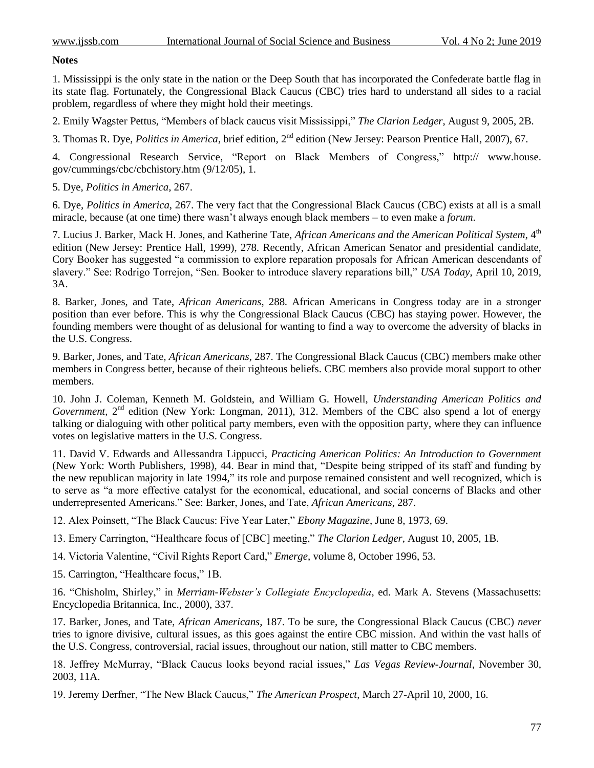#### **Notes**

1. Mississippi is the only state in the nation or the Deep South that has incorporated the Confederate battle flag in its state flag. Fortunately, the Congressional Black Caucus (CBC) tries hard to understand all sides to a racial problem, regardless of where they might hold their meetings.

2. Emily Wagster Pettus, "Members of black caucus visit Mississippi," *The Clarion Ledger*, August 9, 2005, 2B.

3. Thomas R. Dye, *Politics in America*, brief edition, 2nd edition (New Jersey: Pearson Prentice Hall, 2007), 67.

4. Congressional Research Service, "Report on Black Members of Congress," http:// www.house. gov/cummings/cbc/cbchistory.htm (9/12/05), 1.

5. Dye, *Politics in America*, 267.

6. Dye, *Politics in America*, 267. The very fact that the Congressional Black Caucus (CBC) exists at all is a small miracle, because (at one time) there wasn"t always enough black members – to even make a *forum*.

7. Lucius J. Barker, Mack H. Jones, and Katherine Tate, *African Americans and the American Political System*, 4th edition (New Jersey: Prentice Hall, 1999), 278. Recently, African American Senator and presidential candidate, Cory Booker has suggested "a commission to explore reparation proposals for African American descendants of slavery." See: Rodrigo Torrejon, "Sen. Booker to introduce slavery reparations bill," *USA Today*, April 10, 2019, 3A.

8. Barker, Jones, and Tate, *African Americans*, 288. African Americans in Congress today are in a stronger position than ever before. This is why the Congressional Black Caucus (CBC) has staying power. However, the founding members were thought of as delusional for wanting to find a way to overcome the adversity of blacks in the U.S. Congress.

9. Barker, Jones, and Tate, *African Americans*, 287. The Congressional Black Caucus (CBC) members make other members in Congress better, because of their righteous beliefs. CBC members also provide moral support to other members.

10. John J. Coleman, Kenneth M. Goldstein, and William G. Howell, *Understanding American Politics and Government*, 2<sup>nd</sup> edition (New York: Longman, 2011), 312. Members of the CBC also spend a lot of energy talking or dialoguing with other political party members, even with the opposition party, where they can influence votes on legislative matters in the U.S. Congress.

11. David V. Edwards and Allessandra Lippucci, *Practicing American Politics: An Introduction to Government* (New York: Worth Publishers, 1998), 44. Bear in mind that, "Despite being stripped of its staff and funding by the new republican majority in late 1994," its role and purpose remained consistent and well recognized, which is to serve as "a more effective catalyst for the economical, educational, and social concerns of Blacks and other underrepresented Americans." See: Barker, Jones, and Tate, *African Americans*, 287.

12. Alex Poinsett, "The Black Caucus: Five Year Later," *Ebony Magazine*, June 8, 1973, 69.

13. Emery Carrington, "Healthcare focus of [CBC] meeting," *The Clarion Ledger*, August 10, 2005, 1B.

14. Victoria Valentine, "Civil Rights Report Card," *Emerge*, volume 8, October 1996, 53.

15. Carrington, "Healthcare focus," 1B.

16. "Chisholm, Shirley," in *Merriam-Webster's Collegiate Encyclopedia*, ed. Mark A. Stevens (Massachusetts: Encyclopedia Britannica, Inc., 2000), 337.

17. Barker, Jones, and Tate, *African Americans*, 187. To be sure, the Congressional Black Caucus (CBC) *never* tries to ignore divisive, cultural issues, as this goes against the entire CBC mission. And within the vast halls of the U.S. Congress, controversial, racial issues, throughout our nation, still matter to CBC members.

18. Jeffrey McMurray, "Black Caucus looks beyond racial issues," *Las Vegas Review-Journal*, November 30, 2003, 11A.

19. Jeremy Derfner, "The New Black Caucus," *The American Prospect*, March 27-April 10, 2000, 16.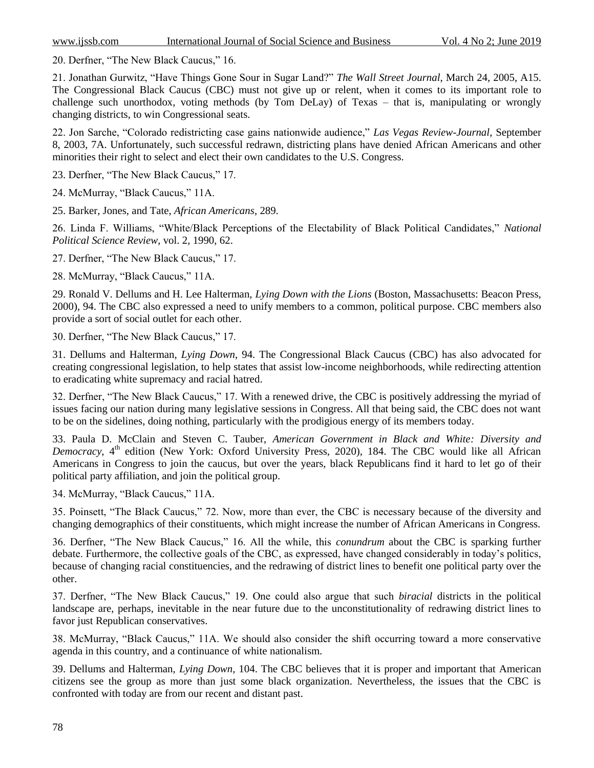20. Derfner, "The New Black Caucus," 16.

21. Jonathan Gurwitz, "Have Things Gone Sour in Sugar Land?" *The Wall Street Journal*, March 24, 2005, A15. The Congressional Black Caucus (CBC) must not give up or relent, when it comes to its important role to challenge such unorthodox, voting methods (by Tom DeLay) of Texas – that is, manipulating or wrongly changing districts, to win Congressional seats.

22. Jon Sarche, "Colorado redistricting case gains nationwide audience," *Las Vegas Review-Journal*, September 8, 2003, 7A. Unfortunately, such successful redrawn, districting plans have denied African Americans and other minorities their right to select and elect their own candidates to the U.S. Congress.

23. Derfner, "The New Black Caucus," 17.

24. McMurray, "Black Caucus," 11A.

25. Barker, Jones, and Tate, *African Americans*, 289.

26. Linda F. Williams, "White/Black Perceptions of the Electability of Black Political Candidates," *National Political Science Review*, vol. 2, 1990, 62.

27. Derfner, "The New Black Caucus," 17.

28. McMurray, "Black Caucus," 11A.

29. Ronald V. Dellums and H. Lee Halterman, *Lying Down with the Lions* (Boston, Massachusetts: Beacon Press, 2000), 94. The CBC also expressed a need to unify members to a common, political purpose. CBC members also provide a sort of social outlet for each other.

30. Derfner, "The New Black Caucus," 17.

31. Dellums and Halterman, *Lying Down*, 94. The Congressional Black Caucus (CBC) has also advocated for creating congressional legislation, to help states that assist low-income neighborhoods, while redirecting attention to eradicating white supremacy and racial hatred.

32. Derfner, "The New Black Caucus," 17. With a renewed drive, the CBC is positively addressing the myriad of issues facing our nation during many legislative sessions in Congress. All that being said, the CBC does not want to be on the sidelines, doing nothing, particularly with the prodigious energy of its members today.

33. Paula D. McClain and Steven C. Tauber, *American Government in Black and White: Diversity and Democracy*, 4<sup>th</sup> edition (New York: Oxford University Press, 2020), 184. The CBC would like all African Americans in Congress to join the caucus, but over the years, black Republicans find it hard to let go of their political party affiliation, and join the political group.

34. McMurray, "Black Caucus," 11A.

35. Poinsett, "The Black Caucus," 72. Now, more than ever, the CBC is necessary because of the diversity and changing demographics of their constituents, which might increase the number of African Americans in Congress.

36. Derfner, "The New Black Caucus," 16. All the while, this *conundrum* about the CBC is sparking further debate. Furthermore, the collective goals of the CBC, as expressed, have changed considerably in today"s politics, because of changing racial constituencies, and the redrawing of district lines to benefit one political party over the other.

37. Derfner, "The New Black Caucus," 19. One could also argue that such *biracial* districts in the political landscape are, perhaps, inevitable in the near future due to the unconstitutionality of redrawing district lines to favor just Republican conservatives.

38. McMurray, "Black Caucus," 11A. We should also consider the shift occurring toward a more conservative agenda in this country, and a continuance of white nationalism.

39. Dellums and Halterman, *Lying Down*, 104. The CBC believes that it is proper and important that American citizens see the group as more than just some black organization. Nevertheless, the issues that the CBC is confronted with today are from our recent and distant past.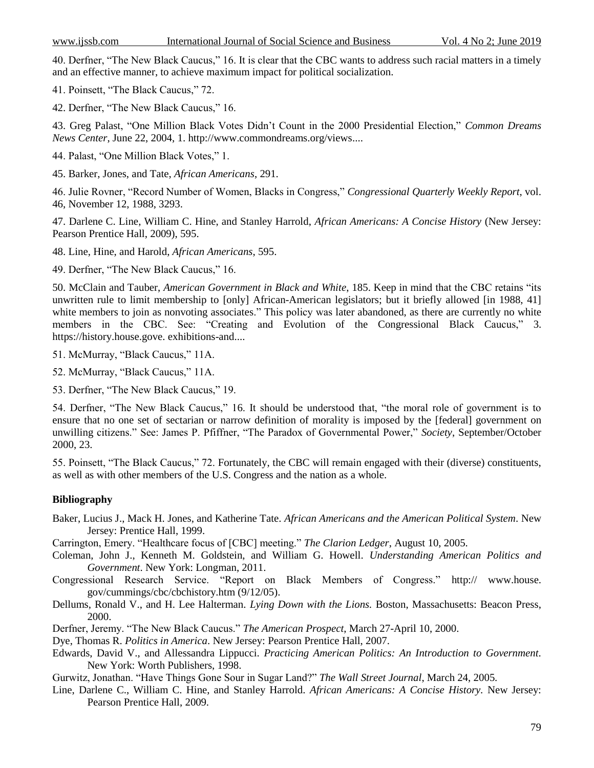40. Derfner, "The New Black Caucus," 16. It is clear that the CBC wants to address such racial matters in a timely and an effective manner, to achieve maximum impact for political socialization.

41. Poinsett, "The Black Caucus," 72.

42. Derfner, "The New Black Caucus," 16.

43. Greg Palast, "One Million Black Votes Didn"t Count in the 2000 Presidential Election," *Common Dreams News Center*, June 22, 2004, 1. [http://www.commondreams.org/views.](http://www.commondreams.org/views)...

44. Palast, "One Million Black Votes," 1.

45. Barker, Jones, and Tate, *African Americans*, 291.

46. Julie Rovner, "Record Number of Women, Blacks in Congress," *Congressional Quarterly Weekly Report*, vol. 46, November 12, 1988, 3293.

47. Darlene C. Line, William C. Hine, and Stanley Harrold, *African Americans: A Concise History* (New Jersey: Pearson Prentice Hall, 2009), 595.

48. Line, Hine, and Harold, *African Americans*, 595.

49. Derfner, "The New Black Caucus," 16.

50. McClain and Tauber, *American Government in Black and White*, 185. Keep in mind that the CBC retains "its unwritten rule to limit membership to [only] African-American legislators; but it briefly allowed [in 1988, 41] white members to join as nonvoting associates." This policy was later abandoned, as there are currently no white members in the CBC. See: "Creating and Evolution of the Congressional Black Caucus," 3. https://history.house.gove. exhibitions-and....

51. McMurray, "Black Caucus," 11A.

52. McMurray, "Black Caucus," 11A.

53. Derfner, "The New Black Caucus," 19.

54. Derfner, "The New Black Caucus," 16. It should be understood that, "the moral role of government is to ensure that no one set of sectarian or narrow definition of morality is imposed by the [federal] government on unwilling citizens." See: James P. Pfiffner, "The Paradox of Governmental Power," *Society*, September/October 2000, 23.

55. Poinsett, "The Black Caucus," 72. Fortunately, the CBC will remain engaged with their (diverse) constituents, as well as with other members of the U.S. Congress and the nation as a whole.

#### **Bibliography**

Baker, Lucius J., Mack H. Jones, and Katherine Tate. *African Americans and the American Political System*. New Jersey: Prentice Hall, 1999.

Carrington, Emery. "Healthcare focus of [CBC] meeting." *The Clarion Ledger*, August 10, 2005.

Coleman, John J., Kenneth M. Goldstein, and William G. Howell. *Understanding American Politics and Government*. New York: Longman, 2011.

Congressional Research Service. "Report on Black Members of Congress." http:// www.house. gov/cummings/cbc/cbchistory.htm (9/12/05).

Dellums, Ronald V., and H. Lee Halterman. *Lying Down with the Lions.* Boston, Massachusetts: Beacon Press, 2000.

Derfner, Jeremy. "The New Black Caucus." *The American Prospect*, March 27-April 10, 2000.

Dye, Thomas R. *Politics in America*. New Jersey: Pearson Prentice Hall, 2007.

Edwards, David V., and Allessandra Lippucci. *Practicing American Politics: An Introduction to Government.* New York: Worth Publishers, 1998.

Gurwitz, Jonathan. "Have Things Gone Sour in Sugar Land?" *The Wall Street Journal*, March 24, 2005.

Line, Darlene C., William C. Hine, and Stanley Harrold. *African Americans: A Concise History.* New Jersey: Pearson Prentice Hall, 2009.